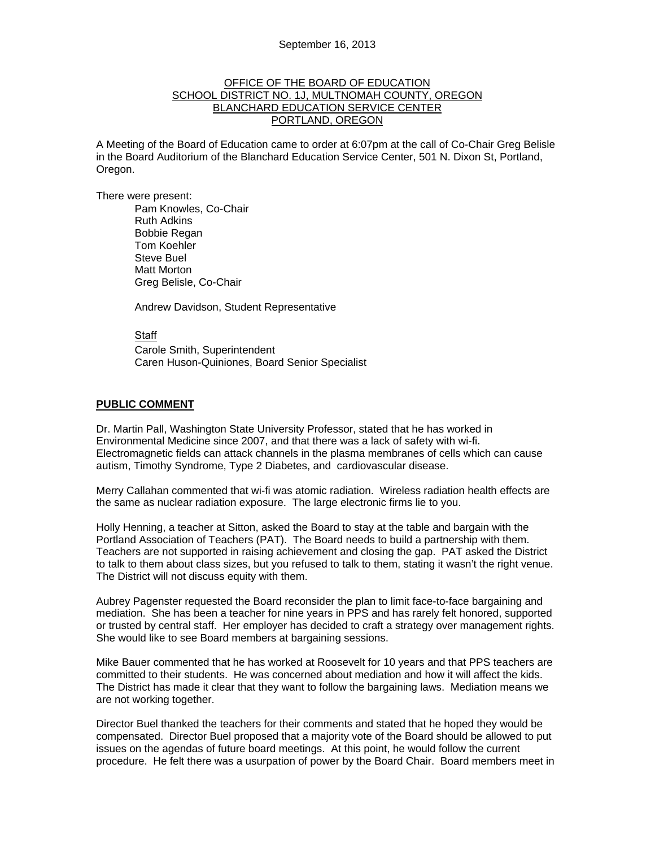## OFFICE OF THE BOARD OF EDUCATION SCHOOL DISTRICT NO. 1J, MULTNOMAH COUNTY, OREGON BLANCHARD EDUCATION SERVICE CENTER PORTLAND, OREGON

A Meeting of the Board of Education came to order at 6:07pm at the call of Co-Chair Greg Belisle in the Board Auditorium of the Blanchard Education Service Center, 501 N. Dixon St, Portland, Oregon.

There were present: Pam Knowles, Co-Chair Ruth Adkins Bobbie Regan Tom Koehler Steve Buel Matt Morton Greg Belisle, Co-Chair

Andrew Davidson, Student Representative

### Staff

 Carole Smith, Superintendent Caren Huson-Quiniones, Board Senior Specialist

### **PUBLIC COMMENT**

Dr. Martin Pall, Washington State University Professor, stated that he has worked in Environmental Medicine since 2007, and that there was a lack of safety with wi-fi. Electromagnetic fields can attack channels in the plasma membranes of cells which can cause autism, Timothy Syndrome, Type 2 Diabetes, and cardiovascular disease.

Merry Callahan commented that wi-fi was atomic radiation. Wireless radiation health effects are the same as nuclear radiation exposure. The large electronic firms lie to you.

Holly Henning, a teacher at Sitton, asked the Board to stay at the table and bargain with the Portland Association of Teachers (PAT). The Board needs to build a partnership with them. Teachers are not supported in raising achievement and closing the gap. PAT asked the District to talk to them about class sizes, but you refused to talk to them, stating it wasn't the right venue. The District will not discuss equity with them.

Aubrey Pagenster requested the Board reconsider the plan to limit face-to-face bargaining and mediation. She has been a teacher for nine years in PPS and has rarely felt honored, supported or trusted by central staff. Her employer has decided to craft a strategy over management rights. She would like to see Board members at bargaining sessions.

Mike Bauer commented that he has worked at Roosevelt for 10 years and that PPS teachers are committed to their students. He was concerned about mediation and how it will affect the kids. The District has made it clear that they want to follow the bargaining laws. Mediation means we are not working together.

Director Buel thanked the teachers for their comments and stated that he hoped they would be compensated. Director Buel proposed that a majority vote of the Board should be allowed to put issues on the agendas of future board meetings. At this point, he would follow the current procedure. He felt there was a usurpation of power by the Board Chair. Board members meet in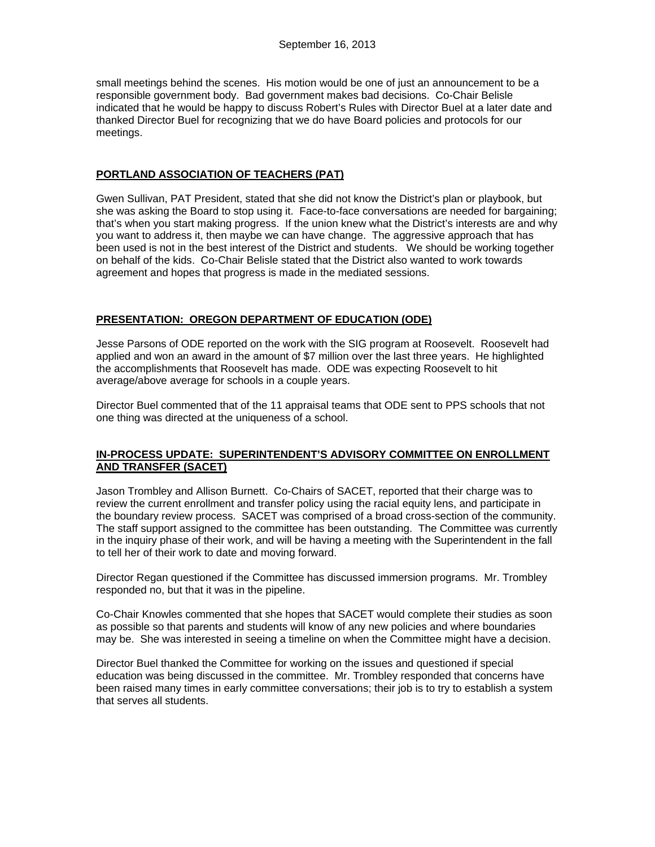small meetings behind the scenes. His motion would be one of just an announcement to be a responsible government body. Bad government makes bad decisions. Co-Chair Belisle indicated that he would be happy to discuss Robert's Rules with Director Buel at a later date and thanked Director Buel for recognizing that we do have Board policies and protocols for our meetings.

## **PORTLAND ASSOCIATION OF TEACHERS (PAT)**

Gwen Sullivan, PAT President, stated that she did not know the District's plan or playbook, but she was asking the Board to stop using it. Face-to-face conversations are needed for bargaining; that's when you start making progress. If the union knew what the District's interests are and why you want to address it, then maybe we can have change. The aggressive approach that has been used is not in the best interest of the District and students. We should be working together on behalf of the kids. Co-Chair Belisle stated that the District also wanted to work towards agreement and hopes that progress is made in the mediated sessions.

# **PRESENTATION: OREGON DEPARTMENT OF EDUCATION (ODE)**

Jesse Parsons of ODE reported on the work with the SIG program at Roosevelt. Roosevelt had applied and won an award in the amount of \$7 million over the last three years. He highlighted the accomplishments that Roosevelt has made. ODE was expecting Roosevelt to hit average/above average for schools in a couple years.

Director Buel commented that of the 11 appraisal teams that ODE sent to PPS schools that not one thing was directed at the uniqueness of a school.

# **IN-PROCESS UPDATE: SUPERINTENDENT'S ADVISORY COMMITTEE ON ENROLLMENT AND TRANSFER (SACET)**

Jason Trombley and Allison Burnett. Co-Chairs of SACET, reported that their charge was to review the current enrollment and transfer policy using the racial equity lens, and participate in the boundary review process. SACET was comprised of a broad cross-section of the community. The staff support assigned to the committee has been outstanding. The Committee was currently in the inquiry phase of their work, and will be having a meeting with the Superintendent in the fall to tell her of their work to date and moving forward.

Director Regan questioned if the Committee has discussed immersion programs. Mr. Trombley responded no, but that it was in the pipeline.

Co-Chair Knowles commented that she hopes that SACET would complete their studies as soon as possible so that parents and students will know of any new policies and where boundaries may be. She was interested in seeing a timeline on when the Committee might have a decision.

Director Buel thanked the Committee for working on the issues and questioned if special education was being discussed in the committee. Mr. Trombley responded that concerns have been raised many times in early committee conversations; their job is to try to establish a system that serves all students.